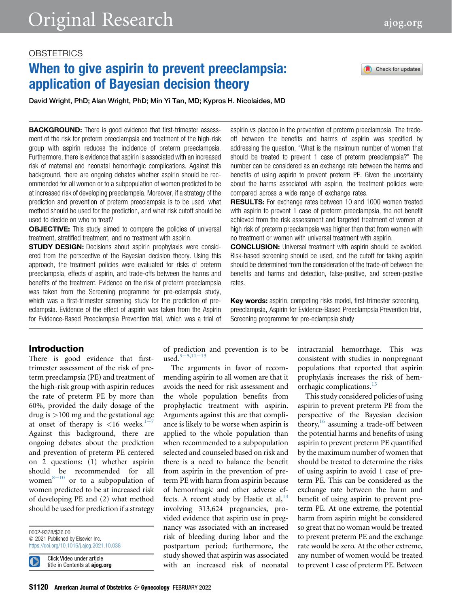# When to give aspirin to prevent preeclampsia: application of Bayesian decision theory

Check for updates

David Wright, PhD; Alan Wright, PhD; Min Yi Tan, MD; Kypros H. Nicolaides, MD

**BACKGROUND:** There is good evidence that first-trimester assessment of the risk for preterm preeclampsia and treatment of the high-risk group with aspirin reduces the incidence of preterm preeclampsia. Furthermore, there is evidence that aspirin is associated with an increased risk of maternal and neonatal hemorrhagic complications. Against this background, there are ongoing debates whether aspirin should be recommended for all women or to a subpopulation of women predicted to be at increased risk of developing preeclampsia. Moreover, if a strategy of the prediction and prevention of preterm preeclampsia is to be used, what method should be used for the prediction, and what risk cutoff should be used to decide on who to treat?

**OBJECTIVE:** This study aimed to compare the policies of universal treatment, stratified treatment, and no treatment with aspirin.

**STUDY DESIGN:** Decisions about aspirin prophylaxis were considered from the perspective of the Bayesian decision theory. Using this approach, the treatment policies were evaluated for risks of preterm preeclampsia, effects of aspirin, and trade-offs between the harms and benefits of the treatment. Evidence on the risk of preterm preeclampsia was taken from the Screening programme for pre-eclampsia study, which was a first-trimester screening study for the prediction of preeclampsia. Evidence of the effect of aspirin was taken from the Aspirin for Evidence-Based Preeclampsia Prevention trial, which was a trial of aspirin vs placebo in the prevention of preterm preeclampsia. The tradeoff between the benefits and harms of aspirin was specified by addressing the question, "What is the maximum number of women that should be treated to prevent 1 case of preterm preeclampsia?" The number can be considered as an exchange rate between the harms and benefits of using aspirin to prevent preterm PE. Given the uncertainty about the harms associated with aspirin, the treatment policies were compared across a wide range of exchange rates.

**RESULTS:** For exchange rates between 10 and 1000 women treated with aspirin to prevent 1 case of preterm preeclampsia, the net benefit achieved from the risk assessment and targeted treatment of women at high risk of preterm preeclampsia was higher than that from women with no treatment or women with universal treatment with aspirin.

CONCLUSION: Universal treatment with aspirin should be avoided. Risk-based screening should be used, and the cutoff for taking aspirin should be determined from the consideration of the trade-off between the benefits and harms and detection, false-positive, and screen-positive rates.

Key words: aspirin, competing risks model, first-trimester screening, preeclampsia, Aspirin for Evidence-Based Preeclampsia Prevention trial, Screening programme for pre-eclampsia study

## Introduction

There is good evidence that firsttrimester assessment of the risk of preterm preeclampsia (PE) and treatment of the high-risk group with aspirin reduces the rate of preterm PE by more than 60%, provided the daily dosage of the drug is >100 mg and the gestational age at ons[e](#page-4-0)t of therapy is  $\lt 16$  weeks.<sup>1-7</sup> Against this background, there are ongoing debates about the prediction and prevention of preterm PE centered on 2 questions: (1) whether aspirin should be recommended for all women $8-10$  $8-10$  or to a subpopulation of women predicted to be at increased risk of developing PE and (2) what method should be used for prediction if a strategy

0002-9378/\$36.00  $©$  2021 Published by Elsevier Inc. <https://doi.org/10.1016/j.ajog.2021.10.038>

Click Video under article title in Contents at ajog.org of prediction and prevention is to be us[e](#page-4-2)d. $3-5,11-13$  $3-5,11-13$  $3-5,11-13$ 

The arguments in favor of recommending aspirin to all women are that it avoids the need for risk assessment and the whole population benefits from prophylactic treatment with aspirin. Arguments against this are that compliance is likely to be worse when aspirin is applied to the whole population than when recommended to a subpopulation selected and counseled based on risk and there is a need to balance the benefit from aspirin in the prevention of preterm PE with harm from aspirin because of hemorrhagic and other adverse effects. A recent study by Hastie et al,  $14$ involving 313,624 pregnancies, provided evidence that aspirin use in pregnancy was associated with an increased risk of bleeding during labor and the postpartum period; furthermore, the study showed that aspirin was associated with an increased risk of neonatal

intracranial hemorrhage. This was consistent with studies in nonpregnant populations that reported that aspirin prophylaxis increases the risk of hem-orrhagic complications.<sup>[15](#page-5-1)</sup>

This study considered policies of using aspirin to prevent preterm PE from the perspective of the Bayesian decision theory,  $16$  assuming a trade-off between the potential harms and benefits of using aspirin to prevent preterm PE quantified by the maximum number of women that should be treated to determine the risks of using aspirin to avoid 1 case of preterm PE. This can be considered as the exchange rate between the harm and benefit of using aspirin to prevent preterm PE. At one extreme, the potential harm from aspirin might be considered so great that no woman would be treated to prevent preterm PE and the exchange rate would be zero. At the other extreme, any number of women would be treated to prevent 1 case of preterm PE. Between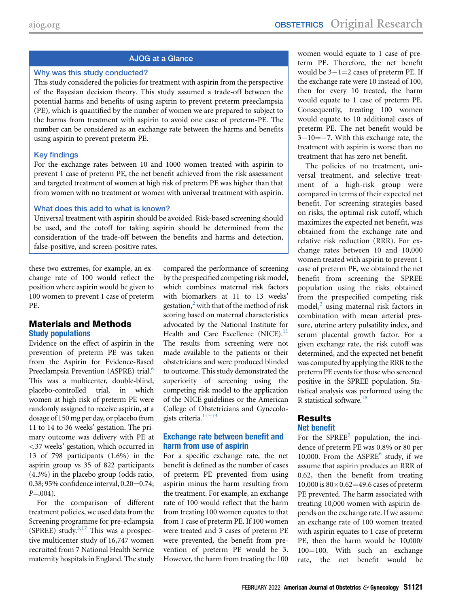## AJOG at a Glance

### Why was this study conducted?

This study considered the policies for treatment with aspirin from the perspective of the Bayesian decision theory. This study assumed a trade-off between the potential harms and benefits of using aspirin to prevent preterm preeclampsia (PE), which is quantified by the number of women we are prepared to subject to the harms from treatment with aspirin to avoid one case of preterm-PE. The number can be considered as an exchange rate between the harms and benefits using aspirin to prevent preterm PE.

## Key findings

For the exchange rates between 10 and 1000 women treated with aspirin to prevent 1 case of preterm PE, the net benefit achieved from the risk assessment and targeted treatment of women at high risk of preterm PE was higher than that from women with no treatment or women with universal treatment with aspirin.

## What does this add to what is known?

Universal treatment with aspirin should be avoided. Risk-based screening should be used, and the cutoff for taking aspirin should be determined from the consideration of the trade-off between the benefits and harms and detection, false-positive, and screen-positive rates.

these two extremes, for example, an exchange rate of 100 would reflect the position where aspirin would be given to 100 women to prevent 1 case of preterm PE.

## Materials and Methods Study populations

Evidence on the effect of aspirin in the prevention of preterm PE was taken from the Aspirin for Evidence-Based Preeclampsia Prevention (ASPRE) trial.<sup>[6](#page-4-4)</sup> This was a multicenter, double-blind, placebo-controlled trial, in which women at high risk of preterm PE were randomly assigned to receive aspirin, at a dosage of 150 mg per day, or placebo from 11 to 14 to 36 weeks' gestation. The primary outcome was delivery with PE at <37 weeks' gestation, which occurred in 13 of 798 participants (1.6%) in the aspirin group vs 35 of 822 participants (4.3%) in the placebo group (odds ratio,  $0.38$ ; 95% confidence interval,  $0.20 - 0.74$ ;  $P = 0.004$ .

For the comparison of different treatment policies, we used data from the Screening programme for pre-eclampsia (SPREE) study. $5,17$  $5,17$  This was a prospective multicenter study of 16,747 women recruited from 7 National Health Service maternity hospitals in England. The study

compared the performance of screening by the prespecified competing risk model, which combines maternal risk factors with biomarkers at 11 to 13 weeks' gestation, $\frac{2}{3}$  with that of the method of risk scoring based on maternal characteristics advocated by the National Institute for Health and Care Excellence (NICE).<sup>[11](#page-4-3)</sup> The results from screening were not made available to the patients or their obstetricians and were produced blinded to outcome. This study demonstrated the superiority of screening using the competing risk model to the application of the NICE guidelines or the American College of Obstetricians and Gynecologists criteria. $11-13$  $11-13$ 

## Exchange rate between benefit and harm from use of aspirin

For a specific exchange rate, the net benefit is defined as the number of cases of preterm PE prevented from using aspirin minus the harm resulting from the treatment. For example, an exchange rate of 100 would reflect that the harm from treating 100 women equates to that from 1 case of preterm PE. If 100 women were treated and 3 cases of preterm PE were prevented, the benefit from prevention of preterm PE would be 3. However, the harm from treating the 100

women would equate to 1 case of preterm PE. Therefore, the net benefit would be  $3-1=2$  cases of preterm PE. If the exchange rate were 10 instead of 100, then for every 10 treated, the harm would equate to 1 case of preterm PE. Consequently, treating 100 women would equate to 10 additional cases of preterm PE. The net benefit would be  $3-10=-7$ . With this exchange rate, the treatment with aspirin is worse than no treatment that has zero net benefit.

The policies of no treatment, universal treatment, and selective treatment of a high-risk group were compared in terms of their expected net benefit. For screening strategies based on risks, the optimal risk cutoff, which maximizes the expected net benefit, was obtained from the exchange rate and relative risk reduction (RRR). For exchange rates between 10 and 10,000 women treated with aspirin to prevent 1 case of preterm PE, we obtained the net benefit from screening the SPREE population using the risks obtained from the prespecified competing risk model, $\lambda$  using maternal risk factors in combination with mean arterial pressure, uterine artery pulsatility index, and serum placental growth factor. For a given exchange rate, the risk cutoff was determined, and the expected net benefit was computed by applying the RRR to the preterm PE events for those who screened positive in the SPREE population. Statistical analysis was performed using the R statistical software.<sup>18</sup>

## Results Net benefit

For the  $SPREE<sup>5</sup>$  $SPREE<sup>5</sup>$  $SPREE<sup>5</sup>$  population, the incidence of preterm PE was 0.8% or 80 per 10,000. From the  $ASPRE^6$  $ASPRE^6$  study, if we assume that aspirin produces an RRR of 0.62, then the benefit from treating  $10,000$  is  $80\times0.62=49.6$  cases of preterm PE prevented. The harm associated with treating 10,000 women with aspirin depends on the exchange rate. If we assume an exchange rate of 100 women treated with aspirin equates to 1 case of preterm PE, then the harm would be 10,000/  $100=100$ . With such an exchange rate, the net benefit would be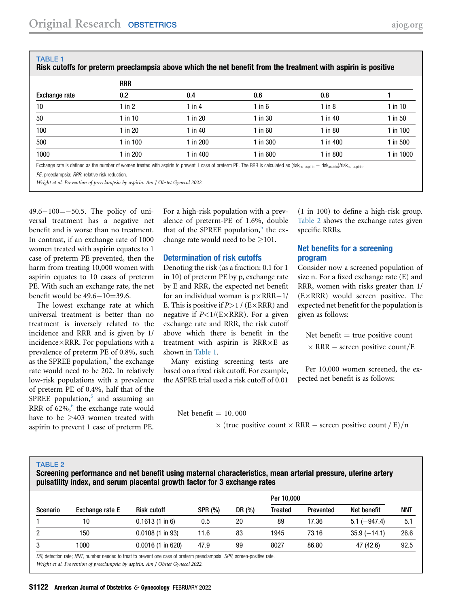| Exchange rate | <b>RRR</b>  |           |             |           |              |  |  |  |  |  |
|---------------|-------------|-----------|-------------|-----------|--------------|--|--|--|--|--|
|               | 0.2         | 0.4       | 0.6         | 0.8       |              |  |  |  |  |  |
| 10            | 1 in $2$    | 1 in $4$  | $1$ in $6$  | 1 in $8$  | $1$ in $10$  |  |  |  |  |  |
| 50            | 1 in 10     | $1$ in 20 | $1$ in 30   | 1 in $40$ | $1$ in 50    |  |  |  |  |  |
| 100           | $1$ in $20$ | 1 in 40   | $1$ in $60$ | $1$ in 80 | $1$ in $100$ |  |  |  |  |  |
| 500           | 1 in $100$  | 1 in 200  | 1 in 300    | 1 in 400  | 1 in 500     |  |  |  |  |  |
| 1000          | 1 in 200    | 1 in 400  | 1 in 600    | 1 in 800  | 1 in 1000    |  |  |  |  |  |

Exchange rate is defined as the number of women treated with aspirin to prevent 1 case of preterm PE. The RRR is calculated as (risk<sub>no aspirin</sub> — risk<sub>aspirin</sub>)/risk<sub>no aspirin</sub>.

PE, preeclampsia; RRR, relative risk reduction.

<span id="page-2-0"></span>TABLE 1

Wright et al. Prevention of preeclampsia by aspirin. Am J Obstet Gynecol 2022.

 $49.6 - 100 = -50.5$ . The policy of universal treatment has a negative net benefit and is worse than no treatment. In contrast, if an exchange rate of 1000 women treated with aspirin equates to 1 case of preterm PE prevented, then the harm from treating 10,000 women with aspirin equates to 10 cases of preterm PE. With such an exchange rate, the net benefit would be  $49.6 - 10 = 39.6$ .

The lowest exchange rate at which universal treatment is better than no treatment is inversely related to the incidence and RRR and is given by 1/  $incidence \times RRR$ . For populations with a prevalence of preterm PE of 0.8%, such as the SPREE population, $5$  the exchange rate would need to be 202. In relatively low-risk populations with a prevalence of preterm PE of 0.4%, half that of the SPREE population, $5$  and assuming an RRR of  $62\%$  $62\%$ , the exchange rate would have to be  $\geq 403$  women treated with aspirin to prevent 1 case of preterm PE.

For a high-risk population with a prevalence of preterm-PE of 1.6%, double that of the SPREE population, $\delta$  the exchange rate would need to be  $\geq$ 101.

#### Determination of risk cutoffs

Denoting the risk (as a fraction: 0.1 for 1 in 10) of preterm PE by p, exchange rate by E and RRR, the expected net benefit for an individual woman is  $p \times RRR-1/$ E. This is positive if  $P>1$  / (E $\times$ RRR) and negative if  $P<1/(E\times RRR)$ . For a given exchange rate and RRR, the risk cutoff above which there is benefit in the treatment with aspirin is  $RRR \times E$  as shown in [Table 1](#page-2-0).

Many existing screening tests are based on a fixed risk cutoff. For example, the ASPRE trial used a risk cutoff of 0.01

Net benefit  $= 10,000$ 

(1 in 100) to define a high-risk group. [Table 2](#page-2-1) shows the exchange rates given specific RRRs.

## Net benefits for a screening program

Consider now a screened population of size n. For a fixed exchange rate (E) and RRR, women with risks greater than 1/  $(E \times RRR)$  would screen positive. The expected net benefit for the population is given as follows:

Net benefit  $=$  true positive count  $\times$  RRR – screen positive count/E

Per 10,000 women screened, the expected net benefit is as follows:

 $\times$  (true positive count  $\times$  RRR – screen positive count  $/E)/n$ 

#### <span id="page-2-1"></span>TABLE 2

Screening performance and net benefit using maternal characteristics, mean arterial pressure, uterine artery pulsatility index, and serum placental growth factor for 3 exchange rates

| Exchange rate E | <b>Risk cutoff</b>          | <b>SPR (%)</b> | DR (%) | Per 10,000 |           |                |      |
|-----------------|-----------------------------|----------------|--------|------------|-----------|----------------|------|
|                 |                             |                |        | Treated    | Prevented | Net benefit    | NNT  |
| 10              | $0.1613(1 \text{ in } 6)$   | 0.5            | 20     | 89         | 17.36     | $5.1 (-947.4)$ | 5.1  |
| 150             | $0.0108(1 \text{ in } 93)$  | 11.6           | 83     | 1945       | 73.16     | $35.9(-14.1)$  | 26.6 |
| 1000            | $0.0016(1 \text{ in } 620)$ | 47.9           | 99     | 8027       | 86.80     | 47 (42.6)      | 92.5 |
|                 |                             |                |        |            |           |                |      |

DR, detection rate; NNT, number needed to treat to prevent one case of preterm preeclampsia; SPR, screen-positive rate. Wright et al. Prevention of preeclampsia by aspirin. Am J Obstet Gynecol 2022.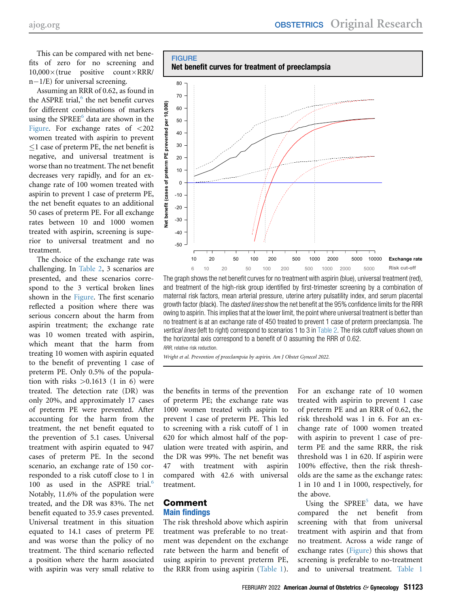This can be compared with net benefits of zero for no screening and  $10,000\times$ (true positive count $\times$ RRR/ n-1/E) for universal screening.

Assuming an RRR of 0.62, as found in the ASPRE trial, $<sup>6</sup>$  $<sup>6</sup>$  $<sup>6</sup>$  the net benefit curves</sup> for different combinations of markers using the SPREE $<sup>6</sup>$  $<sup>6</sup>$  $<sup>6</sup>$  data are shown in the</sup> [Figure](#page-3-0). For exchange rates of  $\langle 202 \rangle$ women treated with aspirin to prevent  $\leq$ 1 case of preterm PE, the net benefit is negative, and universal treatment is worse than no treatment. The net benefit decreases very rapidly, and for an exchange rate of 100 women treated with aspirin to prevent 1 case of preterm PE, the net benefit equates to an additional 50 cases of preterm PE. For all exchange rates between 10 and 1000 women treated with aspirin, screening is superior to universal treatment and no treatment.

The choice of the exchange rate was challenging. In [Table 2](#page-2-1), 3 scenarios are presented, and these scenarios correspond to the 3 vertical broken lines shown in the [Figure](#page-3-0). The first scenario reflected a position where there was serious concern about the harm from aspirin treatment; the exchange rate was 10 women treated with aspirin, which meant that the harm from treating 10 women with aspirin equated to the benefit of preventing 1 case of preterm PE. Only 0.5% of the population with risks  $>0.1613$  (1 in 6) were treated. The detection rate (DR) was only 20%, and approximately 17 cases of preterm PE were prevented. After accounting for the harm from the treatment, the net benefit equated to the prevention of 5.1 cases. Universal treatment with aspirin equated to 947 cases of preterm PE. In the second scenario, an exchange rate of 150 corresponded to a risk cutoff close to 1 in 100 as used in the ASPRE trial.<sup>[6](#page-4-4)</sup> Notably, 11.6% of the population were treated, and the DR was 83%. The net benefit equated to 35.9 cases prevented. Universal treatment in this situation equated to 14.1 cases of preterm PE and was worse than the policy of no treatment. The third scenario reflected a position where the harm associated with aspirin was very small relative to

<span id="page-3-0"></span>

The graph shows the net benefit curves for no treatment with aspirin (blue), universal treatment (red), and treatment of the high-risk group identified by first-trimester screening by a combination of maternal risk factors, mean arterial pressure, uterine artery pulsatility index, and serum placental growth factor (black). The *dashed lines* show the net benefit at the 95% confidence limits for the RRR owing to aspirin. This implies that at the lower limit, the point where universal treatment is better than no treatment is at an exchange rate of 450 treated to prevent 1 case of preterm preeclampsia. The vertical lines (left to right) correspond to scenarios 1 to 3 in [Table 2.](#page-2-1) The risk cutoff values shown on the horizontal axis correspond to a benefit of 0 assuming the RRR of 0.62.

RRR, relative risk reduction.

Wright et al. Prevention of preeclampsia by aspirin. Am J Obstet Gynecol 2022.

the benefits in terms of the prevention of preterm PE; the exchange rate was 1000 women treated with aspirin to prevent 1 case of preterm PE. This led to screening with a risk cutoff of 1 in 620 for which almost half of the population were treated with aspirin, and the DR was 99%. The net benefit was 47 with treatment with aspirin compared with 42.6 with universal treatment.

## Comment

## Main findings

The risk threshold above which aspirin treatment was preferable to no treatment was dependent on the exchange rate between the harm and benefit of using aspirin to prevent preterm PE, the RRR from using aspirin [\(Table 1](#page-2-0)).

For an exchange rate of 10 women treated with aspirin to prevent 1 case of preterm PE and an RRR of 0.62, the risk threshold was 1 in 6. For an exchange rate of 1000 women treated with aspirin to prevent 1 case of preterm PE and the same RRR, the risk threshold was 1 in 620. If aspirin were 100% effective, then the risk thresholds are the same as the exchange rates: 1 in 10 and 1 in 1000, respectively, for the above.

Using the  $SPREE<sup>5</sup>$  $SPREE<sup>5</sup>$  $SPREE<sup>5</sup>$  data, we have compared the net benefit from screening with that from universal treatment with aspirin and that from no treatment. Across a wide range of exchange rates [\(Figure](#page-3-0)) this shows that screening is preferable to no-treatment and to universal treatment. [Table 1](#page-2-0)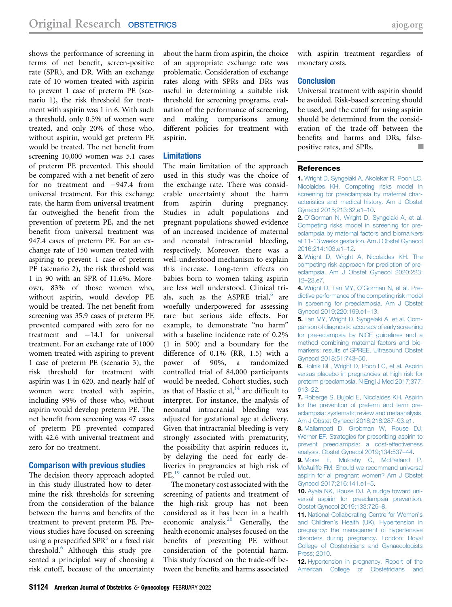shows the performance of screening in terms of net benefit, screen-positive rate (SPR), and DR. With an exchange rate of 10 women treated with aspirin to prevent 1 case of preterm PE (scenario 1), the risk threshold for treatment with aspirin was 1 in 6. With such a threshold, only 0.5% of women were treated, and only 20% of those who, without aspirin, would get preterm PE would be treated. The net benefit from screening 10,000 women was 5.1 cases of preterm PE prevented. This should be compared with a net benefit of zero for no treatment and  $-947.4$  from universal treatment. For this exchange rate, the harm from universal treatment far outweighed the benefit from the prevention of preterm PE, and the net benefit from universal treatment was 947.4 cases of preterm PE. For an exchange rate of 150 women treated with aspiring to prevent 1 case of preterm PE (scenario 2), the risk threshold was 1 in 90 with an SPR of 11.6%. Moreover, 83% of those women who, without aspirin, would develop PE would be treated. The net benefit from screening was 35.9 cases of preterm PE prevented compared with zero for no treatment and  $-14.1$  for universal treatment. For an exchange rate of 1000 women treated with aspiring to prevent 1 case of preterm PE (scenario 3), the risk threshold for treatment with aspirin was 1 in 620, and nearly half of women were treated with aspirin, including 99% of those who, without aspirin would develop preterm PE. The net benefit from screening was 47 cases of preterm PE prevented compared with 42.6 with universal treatment and zero for no treatment.

#### Comparison with previous studies

The decision theory approach adopted in this study illustrated how to determine the risk thresholds for screening from the consideration of the balance between the harms and benefits of the treatment to prevent preterm PE. Previous studies have focused on screening using a prespecified  $SPR<sup>5</sup>$  $SPR<sup>5</sup>$  $SPR<sup>5</sup>$  or a fixed risk threshold.[6](#page-4-4) Although this study presented a principled way of choosing a risk cutoff, because of the uncertainty about the harm from aspirin, the choice of an appropriate exchange rate was problematic. Consideration of exchange rates along with SPRs and DRs was useful in determining a suitable risk threshold for screening programs, evaluation of the performance of screening, and making comparisons among different policies for treatment with aspirin.

#### Limitations

The main limitation of the approach used in this study was the choice of the exchange rate. There was considerable uncertainty about the harm from aspirin during pregnancy. Studies in adult populations and pregnant populations showed evidence of an increased incidence of maternal and neonatal intracranial bleeding, respectively. Moreover, there was a well-understood mechanism to explain this increase. Long-term effects on babies born to women taking aspirin are less well understood. Clinical trials, such as the ASPRE trial, $6$  are woefully underpowered for assessing rare but serious side effects. For example, to demonstrate "no harm" with a baseline incidence rate of 0.2% (1 in 500) and a boundary for the difference of 0.1% (RR, 1.5) with a power of 90%, a randomized controlled trial of 84,000 participants would be needed. Cohort studies, such as that of Hastie et al,  $14$  are difficult to interpret. For instance, the analysis of neonatal intracranial bleeding was adjusted for gestational age at delivery. Given that intracranial bleeding is very strongly associated with prematurity, the possibility that aspirin reduces it, by delaying the need for early deliveries in pregnancies at high risk of PE,<sup>[19](#page-5-5)</sup> cannot be ruled out.

The monetary cost associated with the screening of patients and treatment of the high-risk group has not been considered as it has been in a health economic analysis.<sup>[20](#page-5-6)</sup> Generally, the health economic analyses focused on the benefits of preventing PE without consideration of the potential harm. This study focused on the trade-off between the benefits and harms associated with aspirin treatment regardless of monetary costs.

#### **Conclusion**

Universal treatment with aspirin should be avoided. Risk-based screening should be used, and the cutoff for using aspirin should be determined from the consideration of the trade-off between the benefits and harms and DRs, falsepositive rates, and SPRs.

#### <span id="page-4-0"></span>**References**

1. [Wright D, Syngelaki A, Akolekar R, Poon LC,](http://refhub.elsevier.com/S0002-9378(21)01212-6/sref1) [Nicolaides KH. Competing risks model in](http://refhub.elsevier.com/S0002-9378(21)01212-6/sref1) [screening for preeclampsia by maternal char](http://refhub.elsevier.com/S0002-9378(21)01212-6/sref1)[acteristics and medical history. Am J Obstet](http://refhub.elsevier.com/S0002-9378(21)01212-6/sref1) [Gynecol 2015;213:62.e1](http://refhub.elsevier.com/S0002-9378(21)01212-6/sref1)–10.

<span id="page-4-6"></span>2. O'[Gorman N, Wright D, Syngelaki A, et al.](http://refhub.elsevier.com/S0002-9378(21)01212-6/sref2) [Competing risks model in screening for pre](http://refhub.elsevier.com/S0002-9378(21)01212-6/sref2)[eclampsia by maternal factors and biomarkers](http://refhub.elsevier.com/S0002-9378(21)01212-6/sref2) [at 11-13 weeks gestation. Am J Obstet Gynecol](http://refhub.elsevier.com/S0002-9378(21)01212-6/sref2) [2016;214:103.e1](http://refhub.elsevier.com/S0002-9378(21)01212-6/sref2)–12.

<span id="page-4-2"></span>3. [Wright D, Wright A, Nicolaides KH. The](http://refhub.elsevier.com/S0002-9378(21)01212-6/sref3) [competing risk approach for prediction of pre](http://refhub.elsevier.com/S0002-9378(21)01212-6/sref3)[eclampsia. Am J Obstet Gynecol 2020;223:](http://refhub.elsevier.com/S0002-9378(21)01212-6/sref3) 12–[23.e7.](http://refhub.elsevier.com/S0002-9378(21)01212-6/sref3)

4. Wright D, Tan MY, O'[Gorman N, et al. Pre](http://refhub.elsevier.com/S0002-9378(21)01212-6/sref4)[dictive performance of the competing risk model](http://refhub.elsevier.com/S0002-9378(21)01212-6/sref4) [in screening for preeclampsia. Am J Obstet](http://refhub.elsevier.com/S0002-9378(21)01212-6/sref4) [Gynecol 2019;220:199.e1](http://refhub.elsevier.com/S0002-9378(21)01212-6/sref4)–13.

<span id="page-4-5"></span>5. [Tan MY, Wright D, Syngelaki A, et al. Com](http://refhub.elsevier.com/S0002-9378(21)01212-6/sref5)[parison of diagnostic accuracy of early screening](http://refhub.elsevier.com/S0002-9378(21)01212-6/sref5) [for pre-eclampsia by NICE guidelines and a](http://refhub.elsevier.com/S0002-9378(21)01212-6/sref5) [method combining maternal factors and bio](http://refhub.elsevier.com/S0002-9378(21)01212-6/sref5)[markers: results of SPREE. Ultrasound Obstet](http://refhub.elsevier.com/S0002-9378(21)01212-6/sref5) [Gynecol 2018;51:743](http://refhub.elsevier.com/S0002-9378(21)01212-6/sref5)–50.

<span id="page-4-4"></span>6. [Rolnik DL, Wright D, Poon LC, et al. Aspirin](http://refhub.elsevier.com/S0002-9378(21)01212-6/sref6) [versus placebo in pregnancies at high risk for](http://refhub.elsevier.com/S0002-9378(21)01212-6/sref6) [preterm preeclampsia. N Engl J Med 2017;377:](http://refhub.elsevier.com/S0002-9378(21)01212-6/sref6) [613](http://refhub.elsevier.com/S0002-9378(21)01212-6/sref6)–22.

7. [Roberge S, Bujold E, Nicolaides KH. Aspirin](http://refhub.elsevier.com/S0002-9378(21)01212-6/sref7) [for the prevention of preterm and term pre](http://refhub.elsevier.com/S0002-9378(21)01212-6/sref7)[eclampsia: systematic review and metaanalysis.](http://refhub.elsevier.com/S0002-9378(21)01212-6/sref7) [Am J Obstet Gynecol 2018;218:287](http://refhub.elsevier.com/S0002-9378(21)01212-6/sref7)–93.e1.

8. [Mallampati D, Grobman W, Rouse DJ,](http://refhub.elsevier.com/S0002-9378(21)01212-6/sref8) [Werner EF. Strategies for prescribing aspirin to](http://refhub.elsevier.com/S0002-9378(21)01212-6/sref8) [prevent preeclampsia: a cost-effectiveness](http://refhub.elsevier.com/S0002-9378(21)01212-6/sref8) [analysis. Obstet Gynecol 2019;134:537](http://refhub.elsevier.com/S0002-9378(21)01212-6/sref8)–44.

9. [Mone F, Mulcahy C, McParland P,](http://refhub.elsevier.com/S0002-9378(21)01212-6/sref9) [McAuliffe FM. Should we recommend universal](http://refhub.elsevier.com/S0002-9378(21)01212-6/sref9) [aspirin for all pregnant women? Am J Obstet](http://refhub.elsevier.com/S0002-9378(21)01212-6/sref9) [Gynecol 2017;216:141.e1](http://refhub.elsevier.com/S0002-9378(21)01212-6/sref9)–5.

<span id="page-4-1"></span>10. [Ayala NK, Rouse DJ. A nudge toward uni](http://refhub.elsevier.com/S0002-9378(21)01212-6/sref10)[versal aspirin for preeclampsia prevention.](http://refhub.elsevier.com/S0002-9378(21)01212-6/sref10) [Obstet Gynecol 2019;133:725](http://refhub.elsevier.com/S0002-9378(21)01212-6/sref10)–8.

<span id="page-4-3"></span>11. [National Collaborating Centre for Women](http://refhub.elsevier.com/S0002-9378(21)01212-6/sref11)'s and Children'[s Health \(UK\). Hypertension in](http://refhub.elsevier.com/S0002-9378(21)01212-6/sref11) [pregnancy: the management of hypertensive](http://refhub.elsevier.com/S0002-9378(21)01212-6/sref11) [disorders during pregnancy. London: Royal](http://refhub.elsevier.com/S0002-9378(21)01212-6/sref11) [College of Obstetricians and Gynaecologists](http://refhub.elsevier.com/S0002-9378(21)01212-6/sref11) [Press; 2010.](http://refhub.elsevier.com/S0002-9378(21)01212-6/sref11)

12. [Hypertension in pregnancy. Report of the](http://refhub.elsevier.com/S0002-9378(21)01212-6/sref12) [American College of Obstetricians and](http://refhub.elsevier.com/S0002-9378(21)01212-6/sref12)